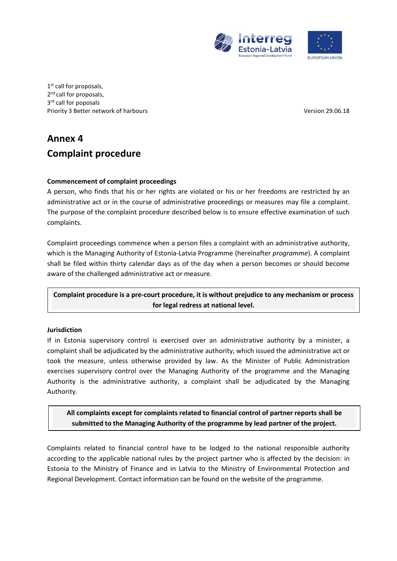

1<sup>st</sup> call for proposals, 2<sup>nd</sup> call for proposals, 3<sup>rd</sup> call for poposals Priority 3 Better network of harbours **Version 29.06.18** and 20.06.18

# **Annex 4 Complaint procedure**

# **Commencement of complaint proceedings**

A person, who finds that his or her rights are violated or his or her freedoms are restricted by an administrative act or in the course of administrative proceedings or measures may file a complaint. The purpose of the complaint procedure described below is to ensure effective examination of such complaints.

Complaint proceedings commence when a person files a complaint with an administrative authority, which is the Managing Authority of Estonia-Latvia Programme (hereinafter *programme*). A complaint shall be filed within thirty calendar days as of the day when a person becomes or should become aware of the challenged administrative act or measure.

**Complaint procedure is a pre-court procedure, it is without prejudice to any mechanism or process for legal redress at national level.**

# **Jurisdiction**

If in Estonia supervisory control is exercised over an administrative authority by a minister, a complaint shall be adjudicated by the administrative authority, which issued the administrative act or took the measure, unless otherwise provided by law. As the Minister of Public Administration exercises supervisory control over the Managing Authority of the programme and the Managing Authority is the administrative authority, a complaint shall be adjudicated by the Managing Authority.

**All complaints except for complaints related to financial control of partner reports shall be submitted to the Managing Authority of the programme by lead partner of the project.**

Complaints related to financial control have to be lodged to the national responsible authority according to the applicable national rules by the project partner who is affected by the decision: in Estonia to the Ministry of Finance and in Latvia to the Ministry of Environmental Protection and Regional Development. Contact information can be found on the website of the programme.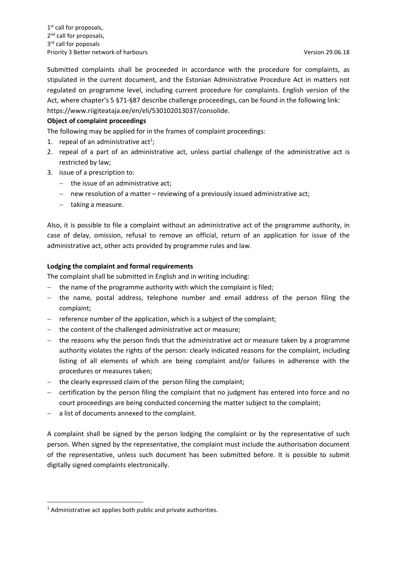Submitted complaints shall be proceeded in accordance with the procedure for complaints, as stipulated in the current document, and the Estonian Administrative Procedure Act in matters not regulated on programme level, including current procedure for complaints. English version of the Act, where chapter's 5 §71-§87 describe challenge proceedings, can be found in the following link: https://www.riigiteataja.ee/en/eli/530102013037/consolide.

## **Object of complaint proceedings**

The following may be applied for in the frames of complaint proceedings:

- 1. repeal of an administrative act<sup>1</sup>;
- 2. repeal of a part of an administrative act, unless partial challenge of the administrative act is restricted by law;
- 3. issue of a prescription to:
	- $-$  the issue of an administrative act:
	- new resolution of a matter reviewing of a previously issued administrative act;
	- $-$  taking a measure.

Also, it is possible to file a complaint without an administrative act of the programme authority, in case of delay, omission, refusal to remove an official, return of an application for issue of the administrative act, other acts provided by programme rules and law.

#### **Lodging the complaint and formal requirements**

The complaint shall be submitted in English and in writing including:

- $-$  the name of the programme authority with which the complaint is filed;
- the name, postal address, telephone number and email address of the person filing the complaint;
- $-$  reference number of the application, which is a subject of the complaint;
- the content of the challenged administrative act or measure;
- $-$  the reasons why the person finds that the administrative act or measure taken by a programme authority violates the rights of the person: clearly indicated reasons for the complaint, including listing of all elements of which are being complaint and/or failures in adherence with the procedures or measures taken;
- the clearly expressed claim of the person filing the complaint;
- certification by the person filing the complaint that no judgment has entered into force and no court proceedings are being conducted concerning the matter subject to the complaint;
- a list of documents annexed to the complaint.

A complaint shall be signed by the person lodging the complaint or by the representative of such person. When signed by the representative, the complaint must include the authorisation document of the representative, unless such document has been submitted before. It is possible to submit digitally signed complaints electronically.

**.** 

<sup>&</sup>lt;sup>1</sup> Administrative act applies both public and private authorities.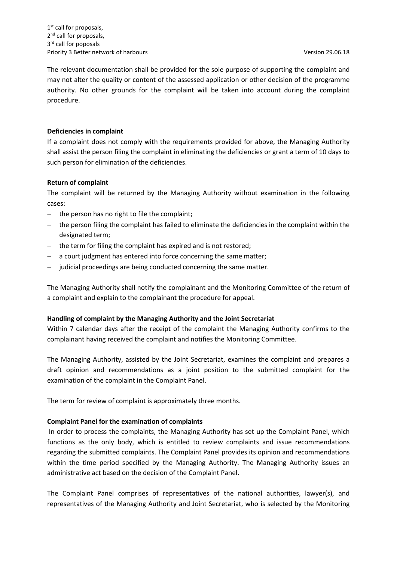1<sup>st</sup> call for proposals, 2<sup>nd</sup> call for proposals, 3<sup>rd</sup> call for poposals Priority 3 Better network of harbours and the state of the state of the Version 29.06.18

The relevant documentation shall be provided for the sole purpose of supporting the complaint and may not alter the quality or content of the assessed application or other decision of the programme authority. No other grounds for the complaint will be taken into account during the complaint procedure.

### **Deficiencies in complaint**

If a complaint does not comply with the requirements provided for above, the Managing Authority shall assist the person filing the complaint in eliminating the deficiencies or grant a term of 10 days to such person for elimination of the deficiencies.

## **Return of complaint**

The complaint will be returned by the Managing Authority without examination in the following cases:

- $-$  the person has no right to file the complaint;
- the person filing the complaint has failed to eliminate the deficiencies in the complaint within the designated term;
- the term for filing the complaint has expired and is not restored;
- a court judgment has entered into force concerning the same matter;
- judicial proceedings are being conducted concerning the same matter.

The Managing Authority shall notify the complainant and the Monitoring Committee of the return of a complaint and explain to the complainant the procedure for appeal.

#### **Handling of complaint by the Managing Authority and the Joint Secretariat**

Within 7 calendar days after the receipt of the complaint the Managing Authority confirms to the complainant having received the complaint and notifies the Monitoring Committee.

The Managing Authority, assisted by the Joint Secretariat, examines the complaint and prepares a draft opinion and recommendations as a joint position to the submitted complaint for the examination of the complaint in the Complaint Panel.

The term for review of complaint is approximately three months.

#### **Complaint Panel for the examination of complaints**

In order to process the complaints, the Managing Authority has set up the Complaint Panel, which functions as the only body, which is entitled to review complaints and issue recommendations regarding the submitted complaints. The Complaint Panel provides its opinion and recommendations within the time period specified by the Managing Authority. The Managing Authority issues an administrative act based on the decision of the Complaint Panel.

The Complaint Panel comprises of representatives of the national authorities, lawyer(s), and representatives of the Managing Authority and Joint Secretariat, who is selected by the Monitoring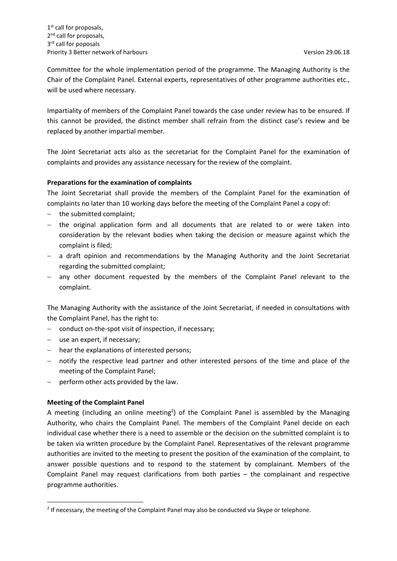Committee for the whole implementation period of the programme. The Managing Authority is the Chair of the Complaint Panel. External experts, representatives of other programme authorities etc., will be used where necessary.

Impartiality of members of the Complaint Panel towards the case under review has to be ensured. If this cannot be provided, the distinct member shall refrain from the distinct case's review and be replaced by another impartial member.

The Joint Secretariat acts also as the secretariat for the Complaint Panel for the examination of complaints and provides any assistance necessary for the review of the complaint.

## **Preparations for the examination of complaints**

The Joint Secretariat shall provide the members of the Complaint Panel for the examination of complaints no later than 10 working days before the meeting of the Complaint Panel a copy of:

- the submitted complaint;
- the original application form and all documents that are related to or were taken into consideration by the relevant bodies when taking the decision or measure against which the complaint is filed;
- a draft opinion and recommendations by the Managing Authority and the Joint Secretariat regarding the submitted complaint;
- any other document requested by the members of the Complaint Panel relevant to the complaint.

The Managing Authority with the assistance of the Joint Secretariat, if needed in consultations with the Complaint Panel, has the right to:

- conduct on-the-spot visit of inspection, if necessary;
- use an expert, if necessary;
- hear the explanations of interested persons;
- notify the respective lead partner and other interested persons of the time and place of the meeting of the Complaint Panel;
- $-$  perform other acts provided by the law.

# **Meeting of the Complaint Panel**

**.** 

A meeting (including an online meeting<sup>2</sup>) of the Complaint Panel is assembled by the Managing Authority, who chairs the Complaint Panel. The members of the Complaint Panel decide on each individual case whether there is a need to assemble or the decision on the submitted complaint is to be taken via written procedure by the Complaint Panel. Representatives of the relevant programme authorities are invited to the meeting to present the position of the examination of the complaint, to answer possible questions and to respond to the statement by complainant. Members of the Complaint Panel may request clarifications from both parties – the complainant and respective programme authorities.

<sup>&</sup>lt;sup>2</sup> If necessary, the meeting of the Complaint Panel may also be conducted via Skype or telephone.